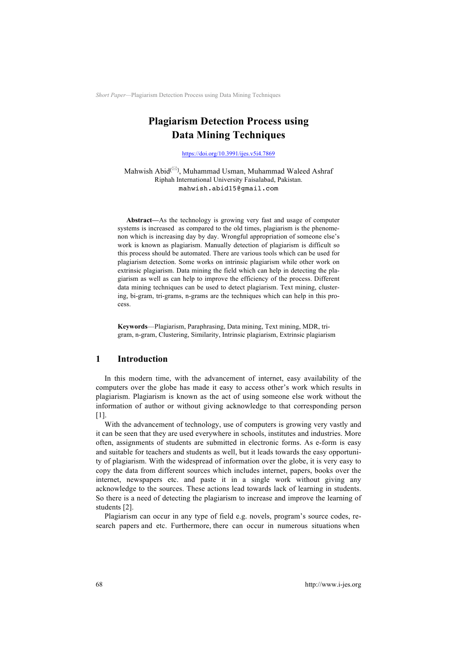# **Plagiarism Detection Process using Data Mining Techniques**

https://doi.org/10.3991/ijes.v5i4.7869

Mahwish Abid!!", Muhammad Usman, Muhammad Waleed Ashraf Riphah International University Faisalabad, Pakistan. mahwish.abid15@gmail.com

**Abstract—**As the technology is growing very fast and usage of computer systems is increased as compared to the old times, plagiarism is the phenomenon which is increasing day by day. Wrongful appropriation of someone else's work is known as plagiarism. Manually detection of plagiarism is difficult so this process should be automated. There are various tools which can be used for plagiarism detection. Some works on intrinsic plagiarism while other work on extrinsic plagiarism. Data mining the field which can help in detecting the plagiarism as well as can help to improve the efficiency of the process. Different data mining techniques can be used to detect plagiarism. Text mining, clustering, bi-gram, tri-grams, n-grams are the techniques which can help in this process.

**Keywords**—Plagiarism, Paraphrasing, Data mining, Text mining, MDR, trigram, n-gram, Clustering, Similarity, Intrinsic plagiarism, Extrinsic plagiarism

#### **1 Introduction**

In this modern time, with the advancement of internet, easy availability of the computers over the globe has made it easy to access other's work which results in plagiarism. Plagiarism is known as the act of using someone else work without the information of author or without giving acknowledge to that corresponding person [1].

With the advancement of technology, use of computers is growing very vastly and it can be seen that they are used everywhere in schools, institutes and industries. More often, assignments of students are submitted in electronic forms. As e-form is easy and suitable for teachers and students as well, but it leads towards the easy opportunity of plagiarism. With the widespread of information over the globe, it is very easy to copy the data from different sources which includes internet, papers, books over the internet, newspapers etc. and paste it in a single work without giving any acknowledge to the sources. These actions lead towards lack of learning in students. So there is a need of detecting the plagiarism to increase and improve the learning of students [2].

Plagiarism can occur in any type of field e.g. novels, program's source codes, research papers and etc. Furthermore, there can occur in numerous situations when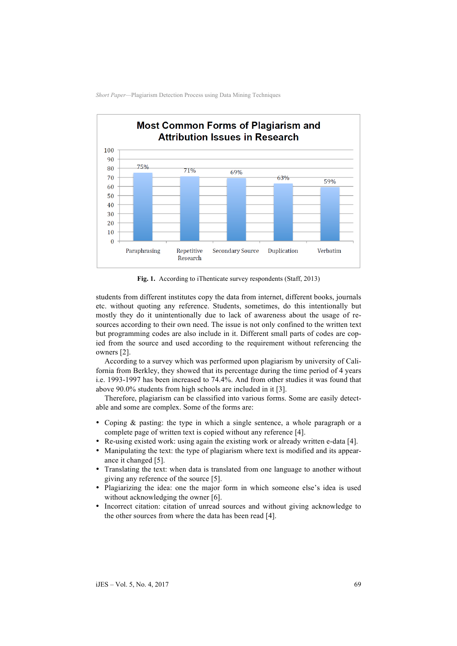

**Fig. 1.** According to iThenticate survey respondents (Staff, 2013)

students from different institutes copy the data from internet, different books, journals etc. without quoting any reference. Students, sometimes, do this intentionally but mostly they do it unintentionally due to lack of awareness about the usage of resources according to their own need. The issue is not only confined to the written text but programming codes are also include in it. Different small parts of codes are copied from the source and used according to the requirement without referencing the owners [2].

According to a survey which was performed upon plagiarism by university of California from Berkley, they showed that its percentage during the time period of 4 years i.e. 1993-1997 has been increased to 74.4%. And from other studies it was found that above 90.0% students from high schools are included in it [3].

Therefore, plagiarism can be classified into various forms. Some are easily detectable and some are complex. Some of the forms are:

- Coping & pasting: the type in which a single sentence, a whole paragraph or a complete page of written text is copied without any reference [4].
- Re-using existed work: using again the existing work or already written e-data [4].
- Manipulating the text: the type of plagiarism where text is modified and its appearance it changed [5].
- Translating the text: when data is translated from one language to another without giving any reference of the source [5].
- Plagiarizing the idea: one the major form in which someone else's idea is used without acknowledging the owner [6].
- Incorrect citation: citation of unread sources and without giving acknowledge to the other sources from where the data has been read [4].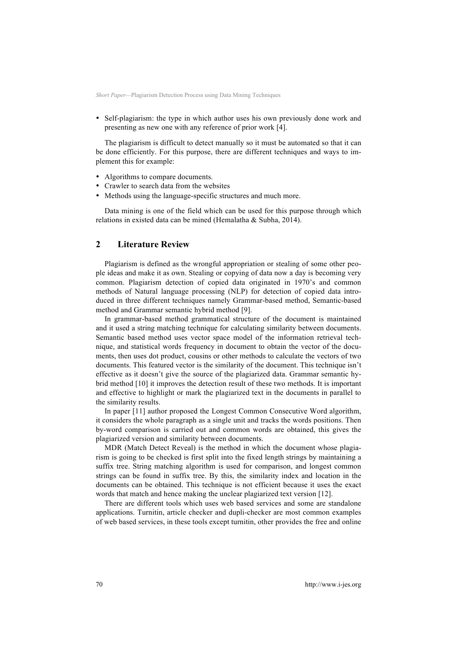• Self-plagiarism: the type in which author uses his own previously done work and presenting as new one with any reference of prior work [4].

The plagiarism is difficult to detect manually so it must be automated so that it can be done efficiently. For this purpose, there are different techniques and ways to implement this for example:

- Algorithms to compare documents.
- Crawler to search data from the websites
- Methods using the language-specific structures and much more.

Data mining is one of the field which can be used for this purpose through which relations in existed data can be mined (Hemalatha & Subha, 2014).

#### **2 Literature Review**

Plagiarism is defined as the wrongful appropriation or stealing of some other people ideas and make it as own. Stealing or copying of data now a day is becoming very common. Plagiarism detection of copied data originated in 1970's and common methods of Natural language processing (NLP) for detection of copied data introduced in three different techniques namely Grammar-based method, Semantic-based method and Grammar semantic hybrid method [9].

In grammar-based method grammatical structure of the document is maintained and it used a string matching technique for calculating similarity between documents. Semantic based method uses vector space model of the information retrieval technique, and statistical words frequency in document to obtain the vector of the documents, then uses dot product, cousins or other methods to calculate the vectors of two documents. This featured vector is the similarity of the document. This technique isn't effective as it doesn't give the source of the plagiarized data. Grammar semantic hybrid method [10] it improves the detection result of these two methods. It is important and effective to highlight or mark the plagiarized text in the documents in parallel to the similarity results.

In paper [11] author proposed the Longest Common Consecutive Word algorithm, it considers the whole paragraph as a single unit and tracks the words positions. Then by-word comparison is carried out and common words are obtained, this gives the plagiarized version and similarity between documents.

MDR (Match Detect Reveal) is the method in which the document whose plagiarism is going to be checked is first split into the fixed length strings by maintaining a suffix tree. String matching algorithm is used for comparison, and longest common strings can be found in suffix tree. By this, the similarity index and location in the documents can be obtained. This technique is not efficient because it uses the exact words that match and hence making the unclear plagiarized text version [12].

There are different tools which uses web based services and some are standalone applications. Turnitin, article checker and dupli-checker are most common examples of web based services, in these tools except turnitin, other provides the free and online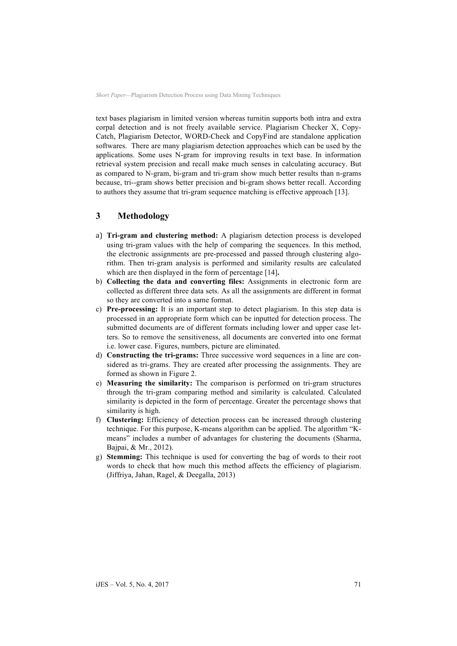text bases plagiarism in limited version whereas turnitin supports both intra and extra corpal detection and is not freely available service. Plagiarism Checker X, Copy-Catch, Plagiarism Detector, WORD-Check and CopyFind are standalone application softwares. There are many plagiarism detection approaches which can be used by the applications. Some uses N-gram for improving results in text base. In information retrieval system precision and recall make much senses in calculating accuracy. But as compared to N-gram, bi-gram and tri-gram show much better results than n-grams because, tri--gram shows better precision and bi-gram shows better recall. According to authors they assume that tri-gram sequence matching is effective approach [13].

### **3 Methodology**

- a) **Tri-gram and clustering method:** A plagiarism detection process is developed using tri-gram values with the help of comparing the sequences. In this method, the electronic assignments are pre-processed and passed through clustering algorithm. Then tri-gram analysis is performed and similarity results are calculated which are then displayed in the form of percentage [14]**.**
- b) **Collecting the data and converting files:** Assignments in electronic form are collected as different three data sets. As all the assignments are different in format so they are converted into a same format.
- c) **Pre-processing:** It is an important step to detect plagiarism. In this step data is processed in an appropriate form which can be inputted for detection process. The submitted documents are of different formats including lower and upper case letters. So to remove the sensitiveness, all documents are converted into one format i.e. lower case. Figures, numbers, picture are eliminated.
- d) **Constructing the tri-grams:** Three successive word sequences in a line are considered as tri-grams. They are created after processing the assignments. They are formed as shown in Figure 2.
- e) **Measuring the similarity:** The comparison is performed on tri-gram structures through the tri-gram comparing method and similarity is calculated. Calculated similarity is depicted in the form of percentage. Greater the percentage shows that similarity is high.
- f) **Clustering:** Efficiency of detection process can be increased through clustering technique. For this purpose, K-means algorithm can be applied. The algorithm "Kmeans" includes a number of advantages for clustering the documents (Sharma, Bajpai, & Mr., 2012).
- g) **Stemming:** This technique is used for converting the bag of words to their root words to check that how much this method affects the efficiency of plagiarism. (Jiffriya, Jahan, Ragel, & Deegalla, 2013)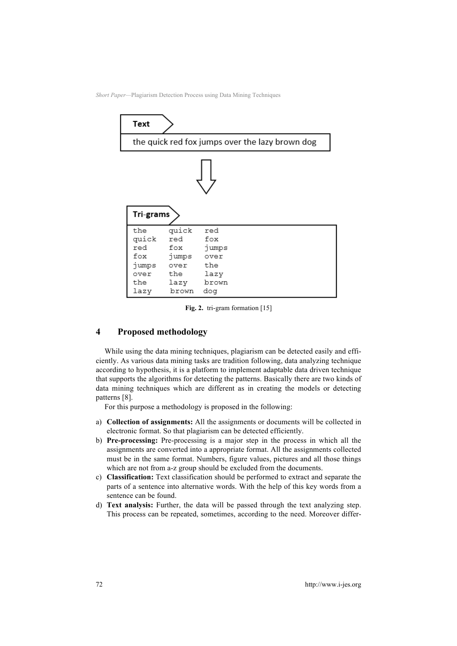

**Fig. 2.** tri-gram formation [15]

#### **4 Proposed methodology**

While using the data mining techniques, plagiarism can be detected easily and efficiently. As various data mining tasks are tradition following, data analyzing technique according to hypothesis, it is a platform to implement adaptable data driven technique that supports the algorithms for detecting the patterns. Basically there are two kinds of data mining techniques which are different as in creating the models or detecting patterns [8].

For this purpose a methodology is proposed in the following:

- a) **Collection of assignments:** All the assignments or documents will be collected in electronic format. So that plagiarism can be detected efficiently.
- b) **Pre-processing:** Pre-processing is a major step in the process in which all the assignments are converted into a appropriate format. All the assignments collected must be in the same format. Numbers, figure values, pictures and all those things which are not from a-z group should be excluded from the documents.
- c) **Classification:** Text classification should be performed to extract and separate the parts of a sentence into alternative words. With the help of this key words from a sentence can be found.
- d) **Text analysis:** Further, the data will be passed through the text analyzing step. This process can be repeated, sometimes, according to the need. Moreover differ-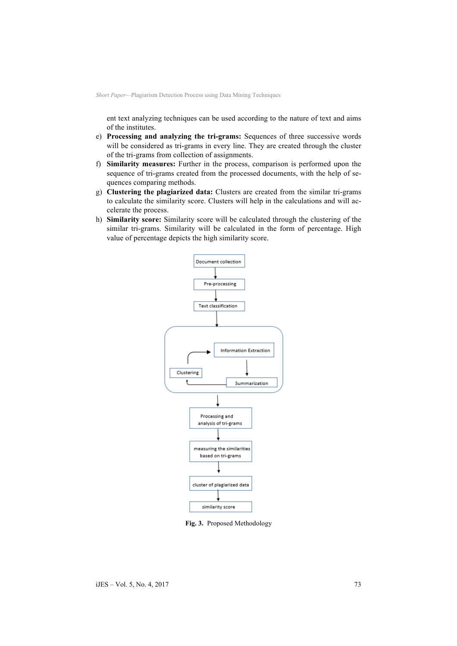ent text analyzing techniques can be used according to the nature of text and aims of the institutes.

- e) **Processing and analyzing the tri-grams:** Sequences of three successive words will be considered as tri-grams in every line. They are created through the cluster of the tri-grams from collection of assignments.
- f) **Similarity measures:** Further in the process, comparison is performed upon the sequence of tri-grams created from the processed documents, with the help of sequences comparing methods.
- g) **Clustering the plagiarized data:** Clusters are created from the similar tri-grams to calculate the similarity score. Clusters will help in the calculations and will accelerate the process.
- h) **Similarity score:** Similarity score will be calculated through the clustering of the similar tri-grams. Similarity will be calculated in the form of percentage. High value of percentage depicts the high similarity score.



**Fig. 3.** Proposed Methodology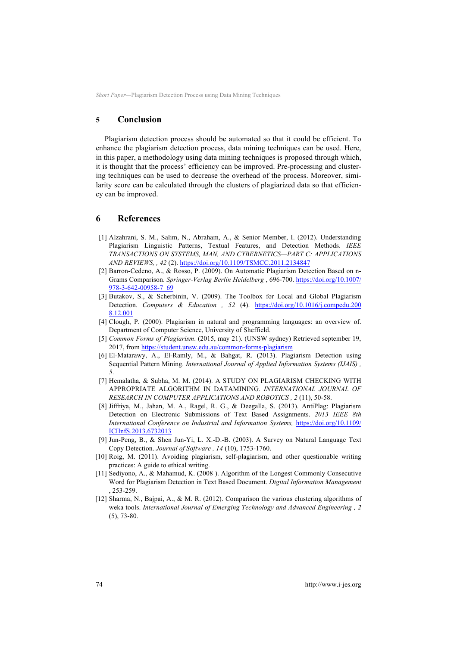#### **5 Conclusion**

Plagiarism detection process should be automated so that it could be efficient. To enhance the plagiarism detection process, data mining techniques can be used. Here, in this paper, a methodology using data mining techniques is proposed through which, it is thought that the process' efficiency can be improved. Pre-processing and clustering techniques can be used to decrease the overhead of the process. Moreover, similarity score can be calculated through the clusters of plagiarized data so that efficiency can be improved.

#### **6 References**

- [1] Alzahrani, S. M., Salim, N., Abraham, A., & Senior Member, I. (2012). Understanding Plagiarism Linguistic Patterns, Textual Features, and Detection Methods. *IEEE TRANSACTIONS ON SYSTEMS, MAN, AND CYBERNETICS—PART C: APPLICATIONS AND REVIEWS, , 42* (2). https://doi.org/10.1109/TSMCC.2011.2134847
- [2] Barron-Cedeno, A., & Rosso, P. (2009). On Automatic Plagiarism Detection Based on n-Grams Comparison. *Springer-Verlag Berlin Heidelberg* , 696-700. https://doi.org/10.1007/ 978-3-642-00958-7\_69
- [3] Butakov, S., & Scherbinin, V. (2009). The Toolbox for Local and Global Plagiarism Detection. *Computers & Education , 52* (4). https://doi.org/10.1016/j.compedu.200 8.12.001
- [4] Clough, P. (2000). Plagiarism in natural and programming languages: an overview of. Department of Computer Science, University of Sheffield.
- [5] *Common Forms of Plagiarism*. (2015, may 21). (UNSW sydney) Retrieved september 19, 2017, from https://student.unsw.edu.au/common-forms-plagiarism
- [6] El-Matarawy, A., El-Ramly, M., & Bahgat, R. (2013). Plagiarism Detection using Sequential Pattern Mining. *International Journal of Applied Information Systems (IJAIS) , 5*.
- [7] Hemalatha, & Subha, M. M. (2014). A STUDY ON PLAGIARISM CHECKING WITH APPROPRIATE ALGORITHM IN DATAMINING. *INTERNATIONAL JOURNAL OF RESEARCH IN COMPUTER APPLICATIONS AND ROBOTICS , 2* (11), 50-58.
- [8] Jiffriya, M., Jahan, M. A., Ragel, R. G., & Deegalla, S. (2013). AntiPlag: Plagiarism Detection on Electronic Submissions of Text Based Assignments. *2013 IEEE 8th International Conference on Industrial and Information Systems,* https://doi.org/10.1109/ ICIInfS.2013.6732013
- [9] Jun-Peng, B., & Shen Jun-Yi, L. X.-D.-B. (2003). A Survey on Natural Language Text Copy Detection. *Journal of Software , 14* (10), 1753-1760.
- [10] Roig, M. (2011). Avoiding plagiarism, self-plagiarism, and other questionable writing practices: A guide to ethical writing.
- [11] Sediyono, A., & Mahamud, K. (2008). Algorithm of the Longest Commonly Consecutive Word for Plagiarism Detection in Text Based Document. *Digital Information Management* , 253-259.
- [12] Sharma, N., Bajpai, A., & M. R. (2012). Comparison the various clustering algorithms of weka tools. *International Journal of Emerging Technology and Advanced Engineering , 2* (5), 73-80.